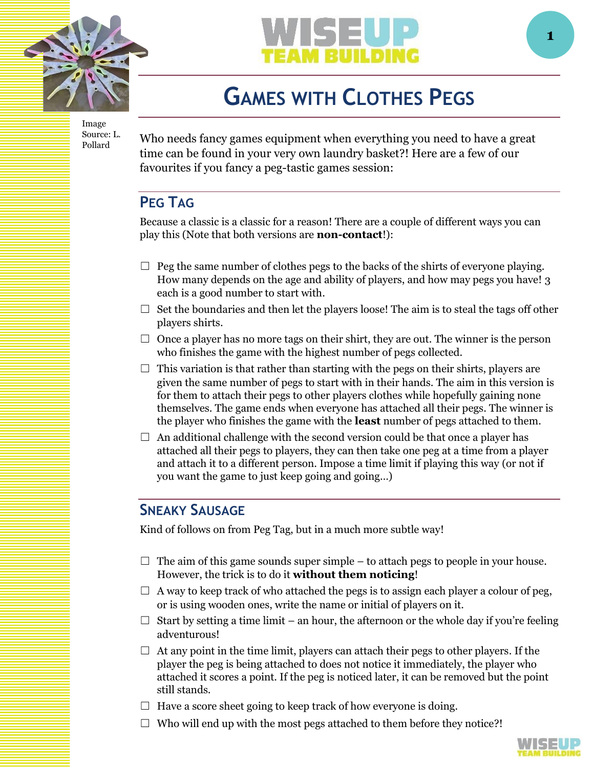

Image Source: L. Pollard



# **GAMES WITH CLOTHES PEGS**

Who needs fancy games equipment when everything you need to have a great time can be found in your very own laundry basket?! Here are a few of our favourites if you fancy a peg-tastic games session:

# **PEG TAG**

Because a classic is a classic for a reason! There are a couple of different ways you can play this (Note that both versions are **non-contact**!):

- $\Box$  Peg the same number of clothes pegs to the backs of the shirts of everyone playing. How many depends on the age and ability of players, and how may pegs you have! 3 each is a good number to start with.
- $\Box$  Set the boundaries and then let the players loose! The aim is to steal the tags off other players shirts.
- $\Box$  Once a player has no more tags on their shirt, they are out. The winner is the person who finishes the game with the highest number of pegs collected.
- $\Box$  This variation is that rather than starting with the pegs on their shirts, players are given the same number of pegs to start with in their hands. The aim in this version is for them to attach their pegs to other players clothes while hopefully gaining none themselves. The game ends when everyone has attached all their pegs. The winner is the player who finishes the game with the **least** number of pegs attached to them.
- $\Box$  An additional challenge with the second version could be that once a player has attached all their pegs to players, they can then take one peg at a time from a player and attach it to a different person. Impose a time limit if playing this way (or not if you want the game to just keep going and going…)

# **SNEAKY SAUSAGE**

Kind of follows on from Peg Tag, but in a much more subtle way!

- $\Box$  The aim of this game sounds super simple to attach pegs to people in your house. However, the trick is to do it **without them noticing**!
- $\Box$  A way to keep track of who attached the pegs is to assign each player a colour of peg, or is using wooden ones, write the name or initial of players on it.
- $\Box$  Start by setting a time limit an hour, the afternoon or the whole day if you're feeling adventurous!
- $\Box$  At any point in the time limit, players can attach their pegs to other players. If the player the peg is being attached to does not notice it immediately, the player who attached it scores a point. If the peg is noticed later, it can be removed but the point still stands.
- $\Box$  Have a score sheet going to keep track of how everyone is doing.
- $\Box$  Who will end up with the most pegs attached to them before they notice?!

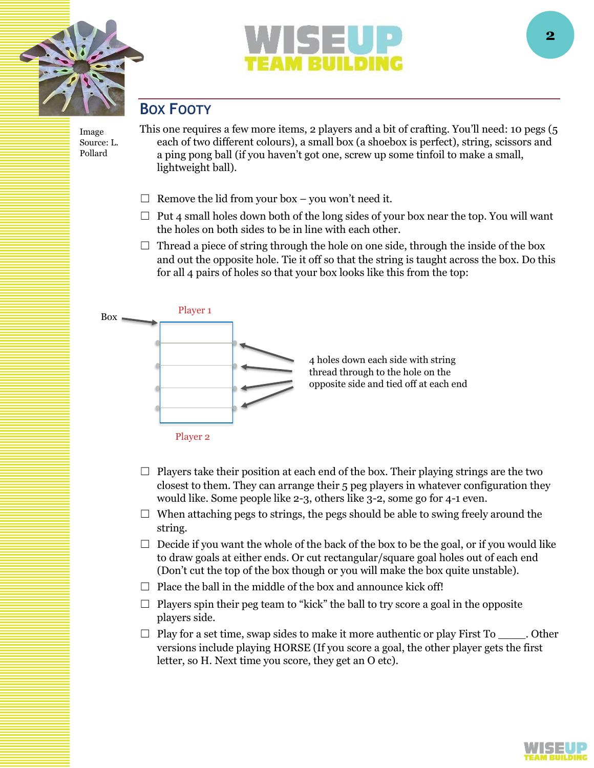



# **BOX FOOTY**

Image Source: L. Pollard

This one requires a few more items, 2 players and a bit of crafting. You'll need: 10 pegs (5 each of two different colours), a small box (a shoebox is perfect), string, scissors and a ping pong ball (if you haven't got one, screw up some tinfoil to make a small, lightweight ball).

- $\Box$  Remove the lid from your box you won't need it.
- $\Box$  Put 4 small holes down both of the long sides of your box near the top. You will want the holes on both sides to be in line with each other.
- $\Box$  Thread a piece of string through the hole on one side, through the inside of the box and out the opposite hole. Tie it off so that the string is taught across the box. Do this for all 4 pairs of holes so that your box looks like this from the top:



- $\Box$  Players take their position at each end of the box. Their playing strings are the two closest to them. They can arrange their 5 peg players in whatever configuration they would like. Some people like 2-3, others like 3-2, some go for 4-1 even.
- $\Box$  When attaching pegs to strings, the pegs should be able to swing freely around the string.
- $\Box$  Decide if you want the whole of the back of the box to be the goal, or if you would like to draw goals at either ends. Or cut rectangular/square goal holes out of each end (Don't cut the top of the box though or you will make the box quite unstable).
- $\Box$  Place the ball in the middle of the box and announce kick off!
- $\Box$  Players spin their peg team to "kick" the ball to try score a goal in the opposite players side.
- $\Box$  Play for a set time, swap sides to make it more authentic or play First To \_\_\_\_\_. Other versions include playing HORSE (If you score a goal, the other player gets the first letter, so H. Next time you score, they get an O etc).